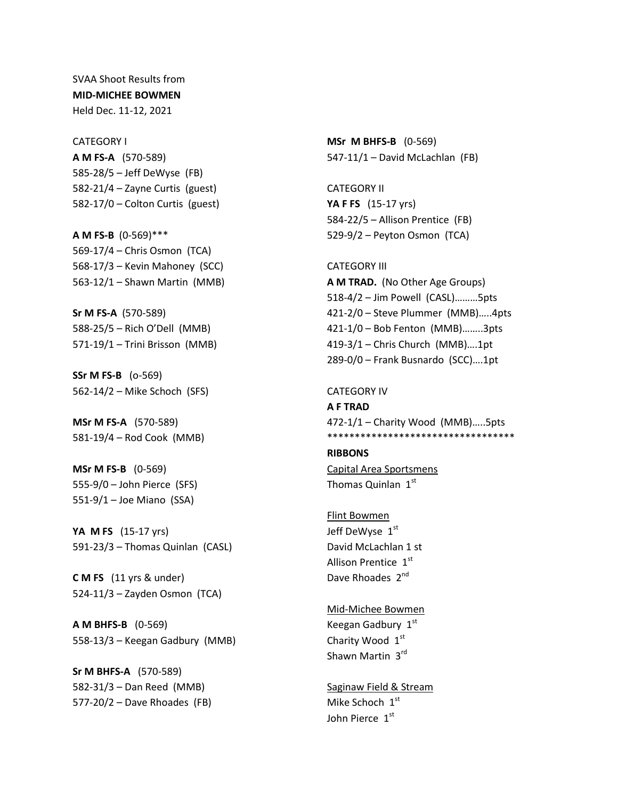SVAA Shoot Results from **MID-MICHEE BOWMEN** Held Dec. 11-12, 2021

CATEGORY I **A M FS-A** (570-589) 585-28/5 – Jeff DeWyse (FB) 582-21/4 – Zayne Curtis (guest) 582-17/0 – Colton Curtis (guest)

**A M FS-B** (0-569)\*\*\* 569-17/4 – Chris Osmon (TCA) 568-17/3 – Kevin Mahoney (SCC) 563-12/1 – Shawn Martin (MMB)

**Sr M FS-A** (570-589) 588-25/5 – Rich O'Dell (MMB) 571-19/1 – Trini Brisson (MMB)

**SSr M FS-B** (o-569) 562-14/2 – Mike Schoch (SFS)

**MSr M FS-A** (570-589) 581-19/4 – Rod Cook (MMB)

**MSr M FS-B** (0-569) 555-9/0 – John Pierce (SFS) 551-9/1 – Joe Miano (SSA)

**YA M FS** (15-17 yrs) 591-23/3 – Thomas Quinlan (CASL)

**C M FS** (11 yrs & under) 524-11/3 – Zayden Osmon (TCA)

**A M BHFS-B** (0-569) 558-13/3 – Keegan Gadbury (MMB)

**Sr M BHFS-A** (570-589) 582-31/3 – Dan Reed (MMB) 577-20/2 – Dave Rhoades (FB) **MSr M BHFS-B** (0-569) 547-11/1 – David McLachlan (FB)

CATEGORY II **YA F FS** (15-17 yrs) 584-22/5 – Allison Prentice (FB) 529-9/2 – Peyton Osmon (TCA)

CATEGORY III **A M TRAD.** (No Other Age Groups) 518-4/2 – Jim Powell (CASL)………5pts 421-2/0 – Steve Plummer (MMB)…..4pts 421-1/0 – Bob Fenton (MMB)……..3pts 419-3/1 – Chris Church (MMB)….1pt 289-0/0 – Frank Busnardo (SCC)….1pt

CATEGORY IV **A F TRAD** 472-1/1 – Charity Wood (MMB)…..5pts \*\*\*\*\*\*\*\*\*\*\*\*\*\*\*\*\*\*\*\*\*\*\*\*\*\*\*\*\*\*\*\*\*\*

**RIBBONS** Capital Area Sportsmens Thomas Quinlan 1st

Flint Bowmen Jeff DeWyse 1st David McLachlan 1 st Allison Prentice 1st Dave Rhoades 2<sup>nd</sup>

Mid-Michee Bowmen Keegan Gadbury 1st Charity Wood 1st Shawn Martin 3rd

Saginaw Field & Stream Mike Schoch 1st John Pierce 1st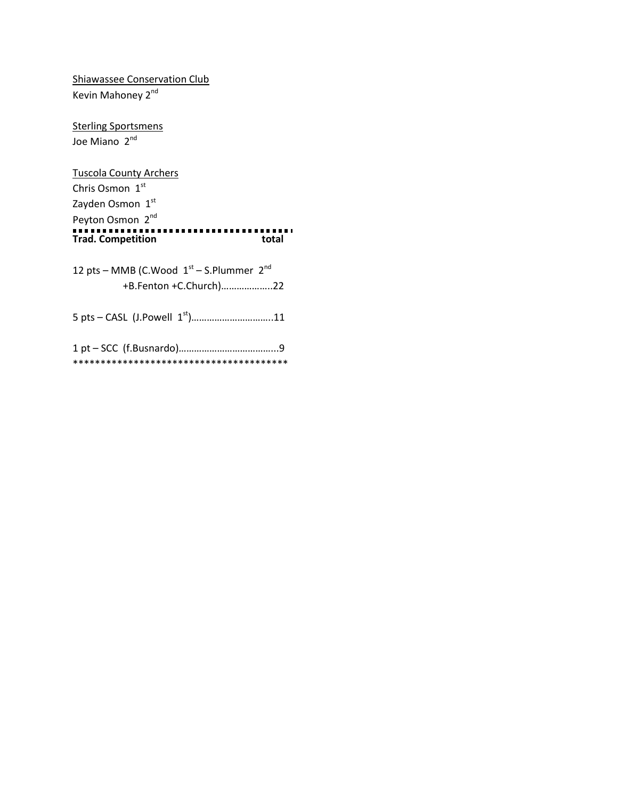Shiawassee Conservation Club Kevin Mahoney 2<sup>nd</sup>

**Sterling Sportsmens** Joe Miano 2<sup>nd</sup>

Tuscola County Archers Chris Osmon 1st Zayden Osmon 1st Peyton Osmon 2<sup>nd</sup> **Trad. Competition total**

| 12 pts – MMB (C.Wood $1st$ – S.Plummer $2nd$ |
|----------------------------------------------|
| +B.Fenton +C.Church)22                       |
|                                              |
|                                              |